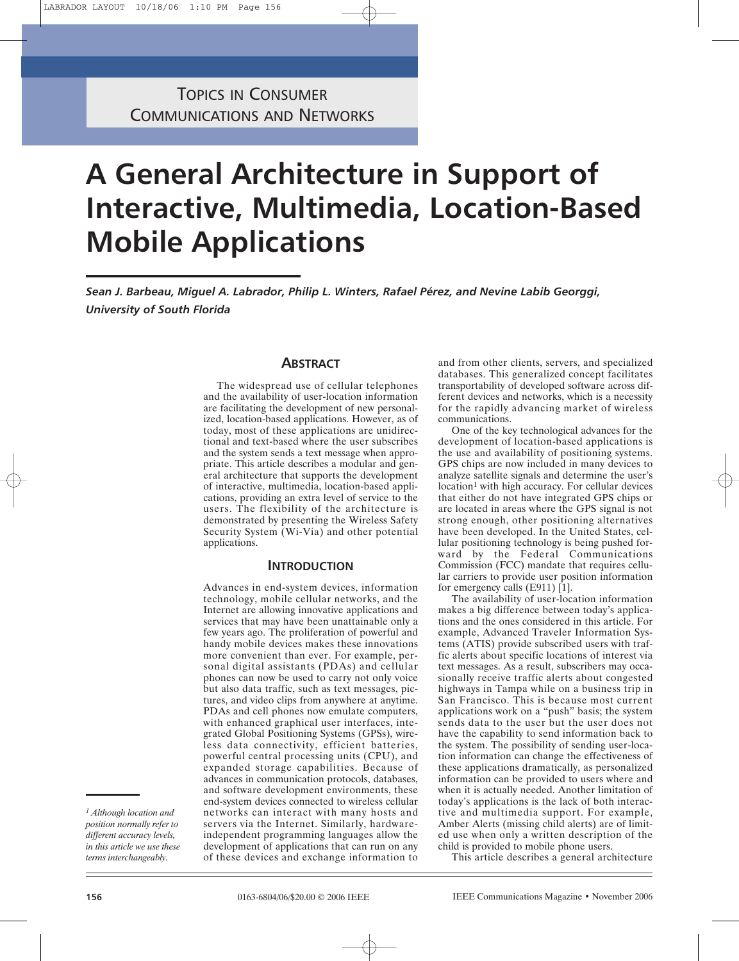# **A General Architecture in Support of Interactive, Multimedia, Location-Based Mobile Applications**

*Sean J. Barbeau, Miguel A. Labrador, Philip L. Winters, Rafael Pérez, and Nevine Labib Georggi, University of South Florida*

## **ABSTRACT**

The widespread use of cellular telephones and the availability of user-location information are facilitating the development of new personalized, location-based applications. However, as of today, most of these applications are unidirectional and text-based where the user subscribes and the system sends a text message when appropriate. This article describes a modular and general architecture that supports the development of interactive, multimedia, location-based applications, providing an extra level of service to the users. The flexibility of the architecture is demonstrated by presenting the Wireless Safety Security System (Wi-Via) and other potential applications.

## **INTRODUCTION**

Advances in end-system devices, information technology, mobile cellular networks, and the Internet are allowing innovative applications and services that may have been unattainable only a few years ago. The proliferation of powerful and handy mobile devices makes these innovations more convenient than ever. For example, personal digital assistants (PDAs) and cellular phones can now be used to carry not only voice but also data traffic, such as text messages, pictures, and video clips from anywhere at anytime. PDAs and cell phones now emulate computers, with enhanced graphical user interfaces, integrated Global Positioning Systems (GPSs), wireless data connectivity, efficient batteries, powerful central processing units (CPU), and expanded storage capabilities. Because of advances in communication protocols, databases, and software development environments, these end-system devices connected to wireless cellular networks can interact with many hosts and servers via the Internet. Similarly, hardwareindependent programming languages allow the development of applications that can run on any of these devices and exchange information to

and from other clients, servers, and specialized databases. This generalized concept facilitates transportability of developed software across different devices and networks, which is a necessity for the rapidly advancing market of wireless communications.

One of the key technological advances for the development of location-based applications is the use and availability of positioning systems. GPS chips are now included in many devices to analyze satellite signals and determine the user's location<sup>1</sup> with high accuracy. For cellular devices that either do not have integrated GPS chips or are located in areas where the GPS signal is not strong enough, other positioning alternatives have been developed. In the United States, cellular positioning technology is being pushed forward by the Federal Communications Commission (FCC) mandate that requires cellular carriers to provide user position information for emergency calls (E911) [1].

The availability of user-location information makes a big difference between today's applications and the ones considered in this article. For example, Advanced Traveler Information Systems (ATIS) provide subscribed users with traffic alerts about specific locations of interest via text messages. As a result, subscribers may occasionally receive traffic alerts about congested highways in Tampa while on a business trip in San Francisco. This is because most current applications work on a "push" basis; the system sends data to the user but the user does not have the capability to send information back to the system. The possibility of sending user-location information can change the effectiveness of these applications dramatically, as personalized information can be provided to users where and when it is actually needed. Another limitation of today's applications is the lack of both interactive and multimedia support. For example, Amber Alerts (missing child alerts) are of limited use when only a written description of the child is provided to mobile phone users.

This article describes a general architecture

*<sup>1</sup> Although location and position normally refer to different accuracy levels, in this article we use these terms interchangeably.*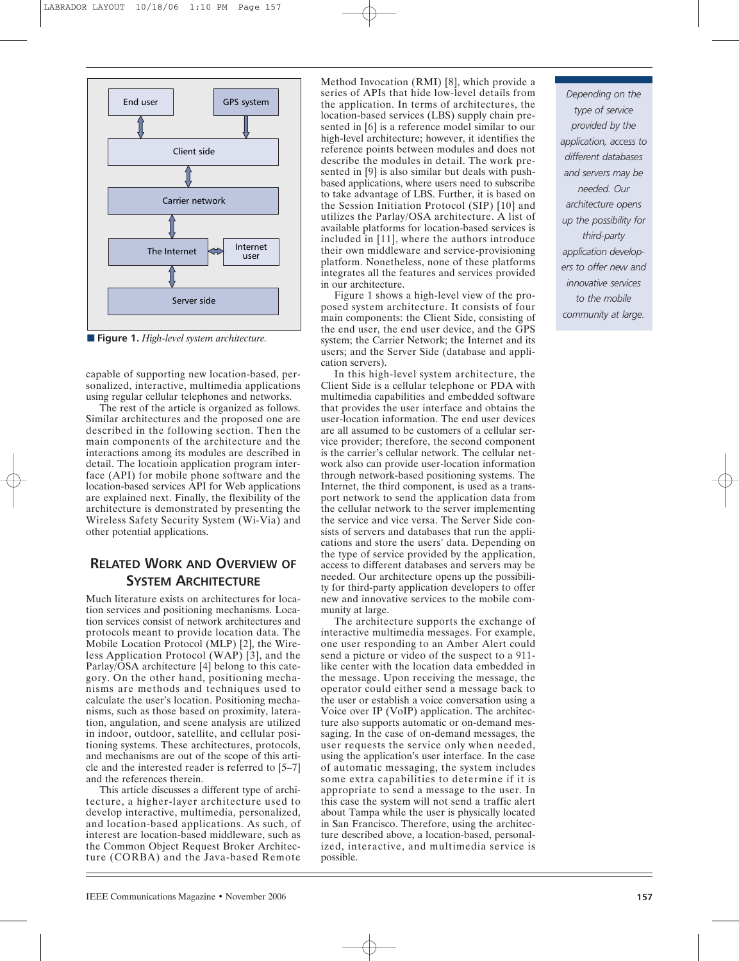

**■ Figure 1.** *High-level system architecture.*

capable of supporting new location-based, personalized, interactive, multimedia applications using regular cellular telephones and networks.

The rest of the article is organized as follows. Similar architectures and the proposed one are described in the following section. Then the main components of the architecture and the interactions among its modules are described in detail. The locatioin application program interface (API) for mobile phone software and the location-based services API for Web applications are explained next. Finally, the flexibility of the architecture is demonstrated by presenting the Wireless Safety Security System (Wi-Via) and other potential applications.

# **RELATED WORK AND OVERVIEW OF SYSTEM ARCHITECTURE**

Much literature exists on architectures for location services and positioning mechanisms. Location services consist of network architectures and protocols meant to provide location data. The Mobile Location Protocol (MLP) [2], the Wireless Application Protocol (WAP) [3], and the Parlay/OSA architecture [4] belong to this category. On the other hand, positioning mechanisms are methods and techniques used to calculate the user's location. Positioning mechanisms, such as those based on proximity, lateration, angulation, and scene analysis are utilized in indoor, outdoor, satellite, and cellular positioning systems. These architectures, protocols, and mechanisms are out of the scope of this article and the interested reader is referred to [5–7] and the references therein.

This article discusses a different type of architecture, a higher-layer architecture used to develop interactive, multimedia, personalized, and location-based applications. As such, of interest are location-based middleware, such as the Common Object Request Broker Architecture (CORBA) and the Java-based Remote

Method Invocation (RMI) [8], which provide a series of APIs that hide low-level details from Series of APIs that hide low-level details from *Depending on the*<br>GPS system the application. In terms of architectures, the time of sorico location-based services (LBS) supply chain presented in [6] is a reference model similar to our high-level architecture; however, it identifies the reference points between modules and does not describe the modules in detail. The work presented in [9] is also similar but deals with pushbased applications, where users need to subscribe to take advantage of LBS. Further, it is based on the Session Initiation Protocol (SIP) [10] and utilizes the Parlay/OSA architecture. A list of available platforms for location-based services is included in [11], where the authors introduce their own middleware and service-provisioning platform. Nonetheless, none of these platforms integrates all the features and services provided in our architecture.

Figure 1 shows a high-level view of the proposed system architecture. It consists of four main components: the Client Side, consisting of the end user, the end user device, and the GPS system; the Carrier Network; the Internet and its users; and the Server Side (database and application servers).

In this high-level system architecture, the Client Side is a cellular telephone or PDA with multimedia capabilities and embedded software that provides the user interface and obtains the user-location information. The end user devices are all assumed to be customers of a cellular service provider; therefore, the second component is the carrier's cellular network. The cellular network also can provide user-location information through network-based positioning systems. The Internet, the third component, is used as a transport network to send the application data from the cellular network to the server implementing the service and vice versa. The Server Side consists of servers and databases that run the applications and store the users' data. Depending on the type of service provided by the application, access to different databases and servers may be needed. Our architecture opens up the possibility for third-party application developers to offer new and innovative services to the mobile community at large.

The architecture supports the exchange of interactive multimedia messages. For example, one user responding to an Amber Alert could send a picture or video of the suspect to a 911 like center with the location data embedded in the message. Upon receiving the message, the operator could either send a message back to the user or establish a voice conversation using a Voice over IP (VoIP) application. The architecture also supports automatic or on-demand messaging. In the case of on-demand messages, the user requests the service only when needed, using the application's user interface. In the case of automatic messaging, the system includes some extra capabilities to determine if it is appropriate to send a message to the user. In this case the system will not send a traffic alert about Tampa while the user is physically located in San Francisco. Therefore, using the architecture described above, a location-based, personalized, interactive, and multimedia service is possible.

*type of service provided by the application, access to different databases and servers may be needed. Our architecture opens up the possibility for third-party application developers to offer new and innovative services to the mobile community at large.*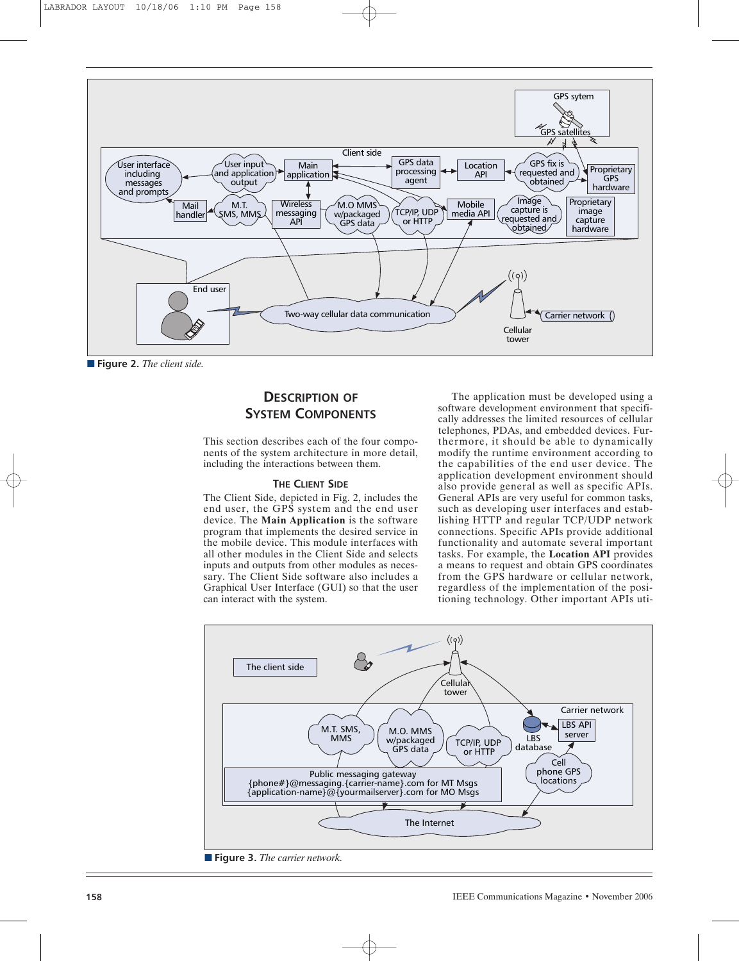

**■ Figure 2.** *The client side.*

## **DESCRIPTION OF SYSTEM COMPONENTS**

This section describes each of the four components of the system architecture in more detail, including the interactions between them.

## **THE CLIENT SIDE**

The Client Side, depicted in Fig. 2, includes the end user, the GPS system and the end user device. The **Main Application** is the software program that implements the desired service in the mobile device. This module interfaces with all other modules in the Client Side and selects inputs and outputs from other modules as necessary. The Client Side software also includes a Graphical User Interface (GUI) so that the user can interact with the system.

The application must be developed using a software development environment that specifically addresses the limited resources of cellular telephones, PDAs, and embedded devices. Furthermore, it should be able to dynamically modify the runtime environment according to the capabilities of the end user device. The application development environment should also provide general as well as specific APIs. General APIs are very useful for common tasks, such as developing user interfaces and establishing HTTP and regular TCP/UDP network connections. Specific APIs provide additional functionality and automate several important tasks. For example, the **Location API** provides a means to request and obtain GPS coordinates from the GPS hardware or cellular network, regardless of the implementation of the positioning technology. Other important APIs uti-

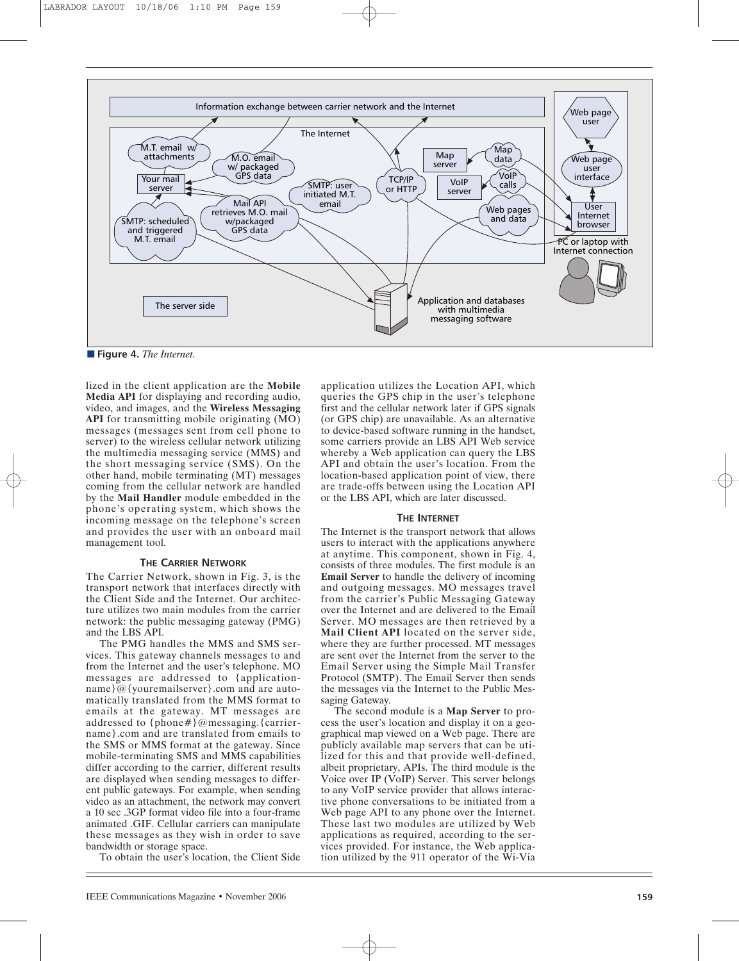

**■ Figure 4.** *The Internet.*

lized in the client application are the **Mobile Media API** for displaying and recording audio, video, and images, and the **Wireless Messaging API** for transmitting mobile originating (MO) messages (messages sent from cell phone to server) to the wireless cellular network utilizing the multimedia messaging service (MMS) and the short messaging service (SMS). On the other hand, mobile terminating (MT) messages coming from the cellular network are handled by the **Mail Handler** module embedded in the phone's operating system, which shows the incoming message on the telephone's screen and provides the user with an onboard mail management tool.

### **THE CARRIER NETWORK**

The Carrier Network, shown in Fig. 3, is the transport network that interfaces directly with the Client Side and the Internet. Our architecture utilizes two main modules from the carrier network: the public messaging gateway (PMG) and the LBS API.

The PMG handles the MMS and SMS services. This gateway channels messages to and from the Internet and the user's telephone. MO messages are addressed to {applicationname} $@{vouremailserver}$ .com and are automatically translated from the MMS format to emails at the gateway. MT messages are addressed to {phone#}@messaging.{carriername}.com and are translated from emails to the SMS or MMS format at the gateway. Since mobile-terminating SMS and MMS capabilities differ according to the carrier, different results are displayed when sending messages to different public gateways. For example, when sending video as an attachment, the network may convert a 10 sec .3GP format video file into a four-frame animated .GIF. Cellular carriers can manipulate these messages as they wish in order to save bandwidth or storage space.

To obtain the user's location, the Client Side

application utilizes the Location API, which queries the GPS chip in the user's telephone first and the cellular network later if GPS signals (or GPS chip) are unavailable. As an alternative to device-based software running in the handset, some carriers provide an LBS API Web service whereby a Web application can query the LBS API and obtain the user's location. From the location-based application point of view, there are trade-offs between using the Location API or the LBS API, which are later discussed.

#### **THE INTERNET**

The Internet is the transport network that allows users to interact with the applications anywhere at anytime. This component, shown in Fig. 4, consists of three modules. The first module is an **Email Server** to handle the delivery of incoming and outgoing messages. MO messages travel from the carrier's Public Messaging Gateway over the Internet and are delivered to the Email Server. MO messages are then retrieved by a **Mail Client API** located on the server side, where they are further processed. MT messages are sent over the Internet from the server to the Email Server using the Simple Mail Transfer Protocol (SMTP). The Email Server then sends the messages via the Internet to the Public Messaging Gateway.

The second module is a **Map Server** to process the user's location and display it on a geographical map viewed on a Web page. There are publicly available map servers that can be utilized for this and that provide well-defined, albeit proprietary, APIs. The third module is the Voice over IP (VoIP) Server. This server belongs to any VoIP service provider that allows interactive phone conversations to be initiated from a Web page API to any phone over the Internet. These last two modules are utilized by Web applications as required, according to the services provided. For instance, the Web application utilized by the 911 operator of the Wi-Via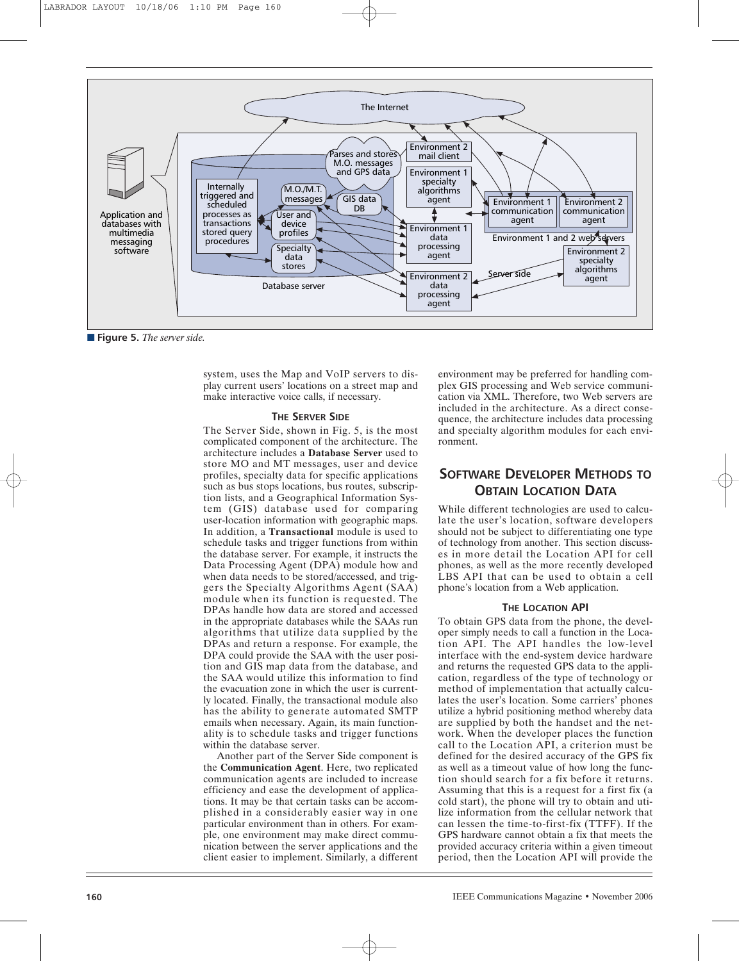

**■ Figure 5.** *The server side.*

system, uses the Map and VoIP servers to display current users' locations on a street map and make interactive voice calls, if necessary.

#### **THE SERVER SIDE**

The Server Side, shown in Fig. 5, is the most complicated component of the architecture. The architecture includes a **Database Server** used to store MO and MT messages, user and device profiles, specialty data for specific applications such as bus stops locations, bus routes, subscription lists, and a Geographical Information System (GIS) database used for comparing user-location information with geographic maps. In addition, a **Transactional** module is used to schedule tasks and trigger functions from within the database server. For example, it instructs the Data Processing Agent (DPA) module how and when data needs to be stored/accessed, and triggers the Specialty Algorithms Agent (SAA) module when its function is requested. The DPAs handle how data are stored and accessed in the appropriate databases while the SAAs run algorithms that utilize data supplied by the DPAs and return a response. For example, the DPA could provide the SAA with the user position and GIS map data from the database, and the SAA would utilize this information to find the evacuation zone in which the user is currently located. Finally, the transactional module also has the ability to generate automated SMTP emails when necessary. Again, its main functionality is to schedule tasks and trigger functions within the database server.

Another part of the Server Side component is the **Communication Agent**. Here, two replicated communication agents are included to increase efficiency and ease the development of applications. It may be that certain tasks can be accomplished in a considerably easier way in one particular environment than in others. For example, one environment may make direct communication between the server applications and the client easier to implement. Similarly, a different environment may be preferred for handling complex GIS processing and Web service communication via XML. Therefore, two Web servers are included in the architecture. As a direct consequence, the architecture includes data processing and specialty algorithm modules for each environment.

# **SOFTWARE DEVELOPER METHODS TO OBTAIN LOCATION DATA**

While different technologies are used to calculate the user's location, software developers should not be subject to differentiating one type of technology from another. This section discusses in more detail the Location API for cell phones, as well as the more recently developed LBS API that can be used to obtain a cell phone's location from a Web application.

#### **THE LOCATION API**

To obtain GPS data from the phone, the developer simply needs to call a function in the Location API. The API handles the low-level interface with the end-system device hardware and returns the requested GPS data to the application, regardless of the type of technology or method of implementation that actually calculates the user's location. Some carriers' phones utilize a hybrid positioning method whereby data are supplied by both the handset and the network. When the developer places the function call to the Location API, a criterion must be defined for the desired accuracy of the GPS fix as well as a timeout value of how long the function should search for a fix before it returns. Assuming that this is a request for a first fix (a cold start), the phone will try to obtain and utilize information from the cellular network that can lessen the time-to-first-fix (TTFF). If the GPS hardware cannot obtain a fix that meets the provided accuracy criteria within a given timeout period, then the Location API will provide the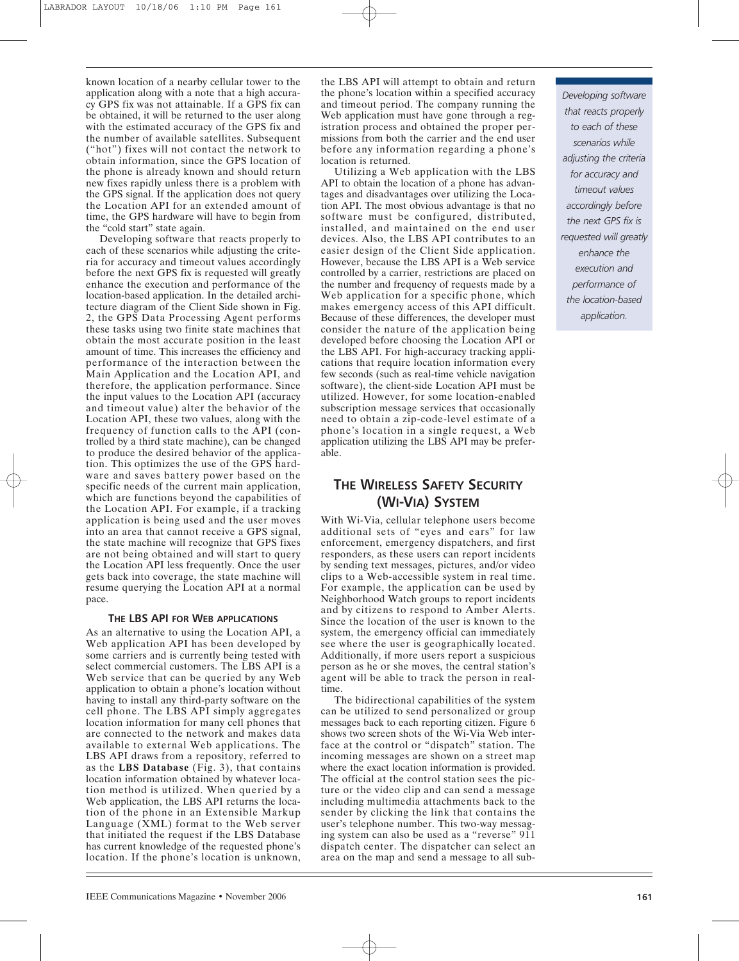known location of a nearby cellular tower to the application along with a note that a high accuracy GPS fix was not attainable. If a GPS fix can be obtained, it will be returned to the user along with the estimated accuracy of the GPS fix and the number of available satellites. Subsequent ("hot") fixes will not contact the network to obtain information, since the GPS location of the phone is already known and should return new fixes rapidly unless there is a problem with the GPS signal. If the application does not query the Location API for an extended amount of time, the GPS hardware will have to begin from the "cold start" state again.

Developing software that reacts properly to each of these scenarios while adjusting the criteria for accuracy and timeout values accordingly before the next GPS fix is requested will greatly enhance the execution and performance of the location-based application. In the detailed architecture diagram of the Client Side shown in Fig. 2, the GPS Data Processing Agent performs these tasks using two finite state machines that obtain the most accurate position in the least amount of time. This increases the efficiency and performance of the interaction between the Main Application and the Location API, and therefore, the application performance. Since the input values to the Location API (accuracy and timeout value) alter the behavior of the Location API, these two values, along with the frequency of function calls to the API (controlled by a third state machine), can be changed to produce the desired behavior of the application. This optimizes the use of the GPS hardware and saves battery power based on the specific needs of the current main application, which are functions beyond the capabilities of the Location API. For example, if a tracking application is being used and the user moves into an area that cannot receive a GPS signal, the state machine will recognize that GPS fixes are not being obtained and will start to query the Location API less frequently. Once the user gets back into coverage, the state machine will resume querying the Location API at a normal pace.

## **THE LBS API FOR WEB APPLICATIONS**

As an alternative to using the Location API, a Web application API has been developed by some carriers and is currently being tested with select commercial customers. The LBS API is a Web service that can be queried by any Web application to obtain a phone's location without having to install any third-party software on the cell phone. The LBS API simply aggregates location information for many cell phones that are connected to the network and makes data available to external Web applications. The LBS API draws from a repository, referred to as the **LBS Database** (Fig. 3), that contains location information obtained by whatever location method is utilized. When queried by a Web application, the LBS API returns the location of the phone in an Extensible Markup Language  $(XML)$  format to the Web server that initiated the request if the LBS Database has current knowledge of the requested phone's location. If the phone's location is unknown,

the LBS API will attempt to obtain and return the phone's location within a specified accuracy and timeout period. The company running the Web application must have gone through a registration process and obtained the proper permissions from both the carrier and the end user before any information regarding a phone's location is returned.

Utilizing a Web application with the LBS API to obtain the location of a phone has advantages and disadvantages over utilizing the Location API. The most obvious advantage is that no software must be configured, distributed, installed, and maintained on the end user devices. Also, the LBS API contributes to an easier design of the Client Side application. However, because the LBS API is a Web service controlled by a carrier, restrictions are placed on the number and frequency of requests made by a Web application for a specific phone, which makes emergency access of this API difficult. Because of these differences, the developer must consider the nature of the application being developed before choosing the Location API or the LBS API. For high-accuracy tracking applications that require location information every few seconds (such as real-time vehicle navigation software), the client-side Location API must be utilized. However, for some location-enabled subscription message services that occasionally need to obtain a zip-code-level estimate of a phone's location in a single request, a Web application utilizing the LBS API may be preferable.

# **THE WIRELESS SAFETY SECURITY (WI-VIA) SYSTEM**

With Wi-Via, cellular telephone users become additional sets of "eyes and ears" for law enforcement, emergency dispatchers, and first responders, as these users can report incidents by sending text messages, pictures, and/or video clips to a Web-accessible system in real time. For example, the application can be used by Neighborhood Watch groups to report incidents and by citizens to respond to Amber Alerts. Since the location of the user is known to the system, the emergency official can immediately see where the user is geographically located. Additionally, if more users report a suspicious person as he or she moves, the central station's agent will be able to track the person in realtime.

The bidirectional capabilities of the system can be utilized to send personalized or group messages back to each reporting citizen. Figure 6 shows two screen shots of the Wi-Via Web interface at the control or "dispatch" station. The incoming messages are shown on a street map where the exact location information is provided. The official at the control station sees the picture or the video clip and can send a message including multimedia attachments back to the sender by clicking the link that contains the user's telephone number. This two-way messaging system can also be used as a "reverse" 911 dispatch center. The dispatcher can select an area on the map and send a message to all sub-

*Developing software that reacts properly to each of these scenarios while adjusting the criteria for accuracy and timeout values accordingly before the next GPS fix is requested will greatly enhance the execution and performance of the location-based application.*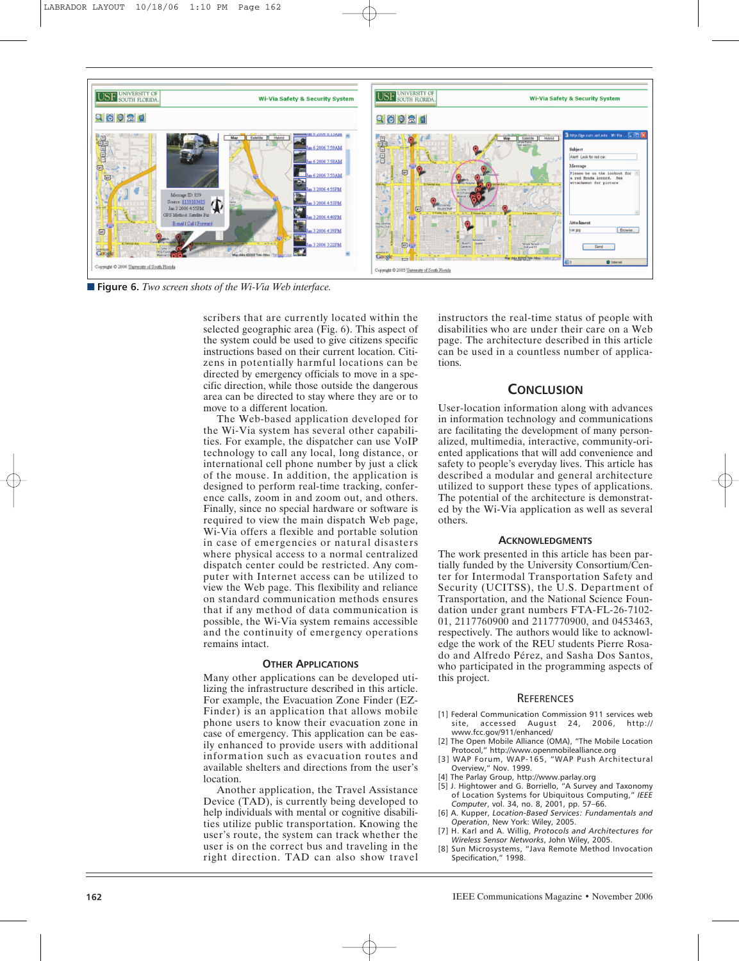

■ **Figure 6.** *Two screen shots of the Wi-Via Web interface.* 

scribers that are currently located within the selected geographic area (Fig. 6). This aspect of the system could be used to give citizens specific instructions based on their current location. Citizens in potentially harmful locations can be directed by emergency officials to move in a specific direction, while those outside the dangerous area can be directed to stay where they are or to move to a different location.

The Web-based application developed for the Wi-Via system has several other capabilities. For example, the dispatcher can use VoIP technology to call any local, long distance, or international cell phone number by just a click of the mouse. In addition, the application is designed to perform real-time tracking, conference calls, zoom in and zoom out, and others. Finally, since no special hardware or software is required to view the main dispatch Web page, Wi-Via offers a flexible and portable solution in case of emergencies or natural disasters where physical access to a normal centralized dispatch center could be restricted. Any computer with Internet access can be utilized to view the Web page. This flexibility and reliance on standard communication methods ensures that if any method of data communication is possible, the Wi-Via system remains accessible and the continuity of emergency operations remains intact.

#### **OTHER APPLICATIONS**

Many other applications can be developed utilizing the infrastructure described in this article. For example, the Evacuation Zone Finder (EZ-Finder) is an application that allows mobile phone users to know their evacuation zone in case of emergency. This application can be easily enhanced to provide users with additional information such as evacuation routes and available shelters and directions from the user's location.

Another application, the Travel Assistance Device (TAD), is currently being developed to help individuals with mental or cognitive disabilities utilize public transportation. Knowing the user's route, the system can track whether the user is on the correct bus and traveling in the right direction. TAD can also show travel instructors the real-time status of people with disabilities who are under their care on a Web page. The architecture described in this article can be used in a countless number of applications.

# **CONCLUSION**

User-location information along with advances in information technology and communications are facilitating the development of many personalized, multimedia, interactive, community-oriented applications that will add convenience and safety to people's everyday lives. This article has described a modular and general architecture utilized to support these types of applications. The potential of the architecture is demonstrated by the Wi-Via application as well as several others.

## **ACKNOWLEDGMENTS**

The work presented in this article has been partially funded by the University Consortium/Center for Intermodal Transportation Safety and Security (UCITSS), the U.S. Department of Transportation, and the National Science Foundation under grant numbers FTA-FL-26-7102- 01, 2117760900 and 2117770900, and 0453463, respectively. The authors would like to acknowledge the work of the REU students Pierre Rosado and Alfredo Pérez, and Sasha Dos Santos, who participated in the programming aspects of this project.

## **REFERENCES**

- [1] Federal Communication Commission 911 services web site, accessed August 24, 2006, http:// www.fcc.gov/911/enhanced/
- The Open Mobile Alliance (OMA), "The Mobile Location Protocol," http://www.openmobilealliance.org
- [3] WAP Forum, WAP-165, "WAP Push Architectural Overview," Nov. 1999.
- [4] The Parlay Group, http://www.parlay.org
- [5] J. Hightower and G. Borriello, "A Survey and Taxonomy of Location Systems for Ubiquitous Computing," *IEEE Computer*, vol. 34, no. 8, 2001, pp. 57–66.
- [6] A. Kupper, *Location-Based Services: Fundamentals and Operation*, New York: Wiley, 2005.
- [7] H. Karl and A. Willig, *Protocols and Architectures for Wireless Sensor Networks*, John Wiley, 2005.
- [8] Sun Microsystems, "Java Remote Method Invocation Specification," 1998.